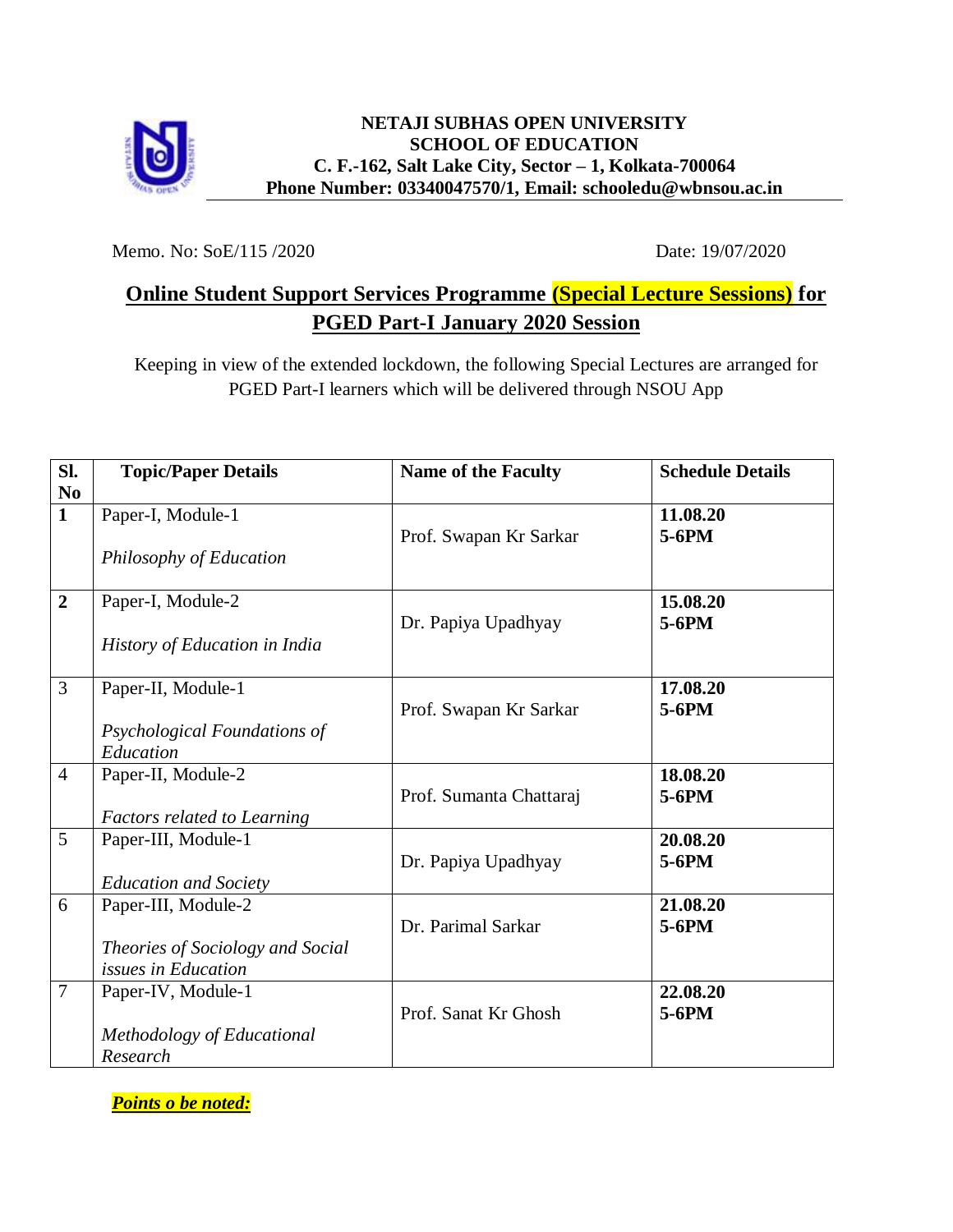

Memo. No: SoE/115 /2020 Date: 19/07/2020

## **Online Student Support Services Programme (Special Lecture Sessions) for PGED Part-I January 2020 Session**

Keeping in view of the extended lockdown, the following Special Lectures are arranged for PGED Part-I learners which will be delivered through NSOU App

| Sl.                            | <b>Topic/Paper Details</b>                              | <b>Name of the Faculty</b> | <b>Schedule Details</b> |
|--------------------------------|---------------------------------------------------------|----------------------------|-------------------------|
| N <sub>0</sub><br>$\mathbf{1}$ | Paper-I, Module-1                                       |                            | 11.08.20                |
|                                |                                                         | Prof. Swapan Kr Sarkar     | 5-6PM                   |
|                                | Philosophy of Education                                 |                            |                         |
| $\boldsymbol{2}$               | Paper-I, Module-2                                       |                            | 15.08.20                |
|                                |                                                         | Dr. Papiya Upadhyay        | $5-6PM$                 |
|                                | History of Education in India                           |                            |                         |
| 3                              | Paper-II, Module-1                                      |                            | 17.08.20                |
|                                |                                                         | Prof. Swapan Kr Sarkar     | $5-6PM$                 |
|                                | Psychological Foundations of<br>Education               |                            |                         |
| $\overline{4}$                 | Paper-II, Module-2                                      |                            | 18.08.20                |
|                                |                                                         | Prof. Sumanta Chattaraj    | $5-6PM$                 |
|                                | <b>Factors related to Learning</b>                      |                            |                         |
| 5                              | Paper-III, Module-1                                     |                            | 20.08.20                |
|                                |                                                         | Dr. Papiya Upadhyay        | 5-6PM                   |
|                                | <b>Education and Society</b>                            |                            |                         |
| 6                              | Paper-III, Module-2                                     |                            | 21.08.20                |
|                                |                                                         | Dr. Parimal Sarkar         | $5-6PM$                 |
|                                | Theories of Sociology and Social<br>issues in Education |                            |                         |
| $\overline{7}$                 | Paper-IV, Module-1                                      |                            | 22.08.20                |
|                                |                                                         | Prof. Sanat Kr Ghosh       | $5-6PM$                 |
|                                | Methodology of Educational                              |                            |                         |
|                                | Research                                                |                            |                         |

*Points o be noted:*